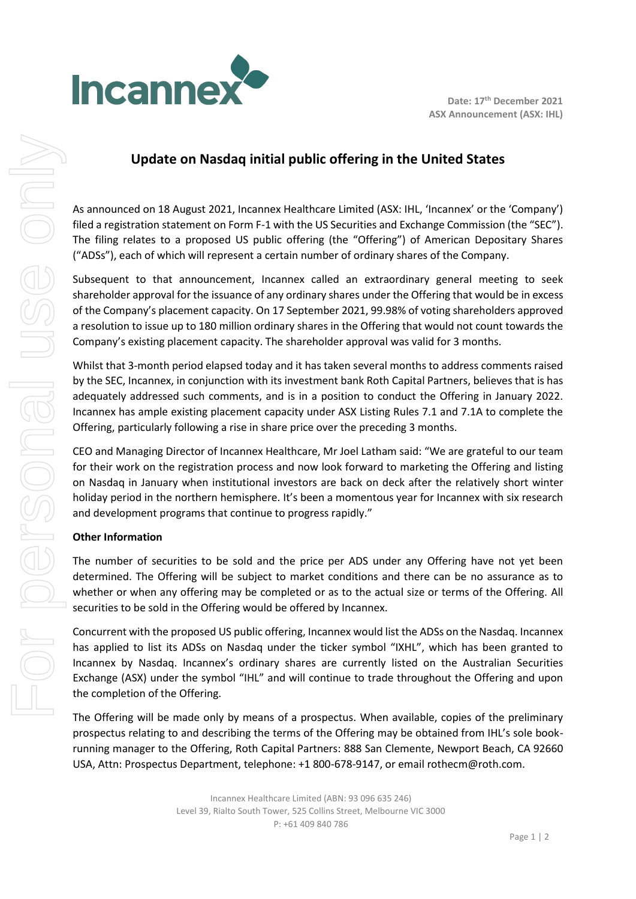

## **Update on Nasdaq initial public offering in the United States**

As announced on 18 August 2021, Incannex Healthcare Limited (ASX: IHL, 'Incannex' or the 'Company') filed a registration statement on Form F-1 with the US Securities and Exchange Commission (the "SEC"). The filing relates to a proposed US public offering (the "Offering") of American Depositary Shares ("ADSs"), each of which will represent a certain number of ordinary shares of the Company.

Subsequent to that announcement, Incannex called an extraordinary general meeting to seek shareholder approval for the issuance of any ordinary shares under the Offering that would be in excess of the Company's placement capacity. On 17 September 2021, 99.98% of voting shareholders approved a resolution to issue up to 180 million ordinary shares in the Offering that would not count towards the Company's existing placement capacity. The shareholder approval was valid for 3 months.

Whilst that 3-month period elapsed today and it has taken several months to address comments raised by the SEC, Incannex, in conjunction with its investment bank Roth Capital Partners, believes that is has adequately addressed such comments, and is in a position to conduct the Offering in January 2022. Incannex has ample existing placement capacity under ASX Listing Rules 7.1 and 7.1A to complete the Offering, particularly following a rise in share price over the preceding 3 months.

CEO and Managing Director of Incannex Healthcare, Mr Joel Latham said: "We are grateful to our team for their work on the registration process and now look forward to marketing the Offering and listing on Nasdaq in January when institutional investors are back on deck after the relatively short winter holiday period in the northern hemisphere. It's been a momentous year for Incannex with six research and development programs that continue to progress rapidly."

## **Other Information**

The number of securities to be sold and the price per ADS under any Offering have not yet been determined. The Offering will be subject to market conditions and there can be no assurance as to whether or when any offering may be completed or as to the actual size or terms of the Offering. All securities to be sold in the Offering would be offered by Incannex.

Concurrent with the proposed US public offering, Incannex would list the ADSs on the Nasdaq. Incannex has applied to list its ADSs on Nasdaq under the ticker symbol "IXHL", which has been granted to Incannex by Nasdaq. Incannex's ordinary shares are currently listed on the Australian Securities Exchange (ASX) under the symbol "IHL" and will continue to trade throughout the Offering and upon the completion of the Offering.

The Offering will be made only by means of a prospectus. When available, copies of the preliminary prospectus relating to and describing the terms of the Offering may be obtained from IHL's sole bookrunning manager to the Offering, Roth Capital Partners: 888 San Clemente, Newport Beach, CA 92660 USA, Attn: Prospectus Department, telephone: +1 800-678-9147, or email rothecm@roth.com.